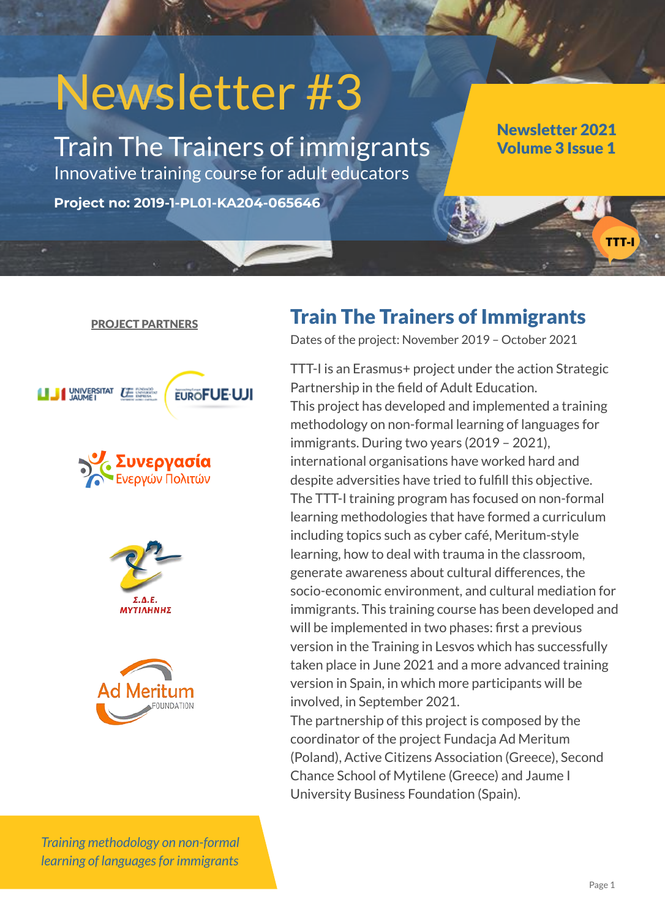# Newsletter #3

**Project no: 2019-1-PL01-KA204-065646**

Train The Trainers of immigrants Innovative training course for adult educators

Newsletter 2021 Volume 3 Issue 1

#### PROJECT PARTNERS

**EUROFUE-UJI** 







*Training methodology on non-formal learning of languages for immigrants*

## Train The Trainers of Immigrants

Dates of the project: November 2019 – October 2021

TTT-I is an Erasmus+ project under the action Strategic Partnership in the field of Adult Education. This project has developed and implemented a training methodology on non-formal learning of languages for immigrants. During two years (2019 – 2021), international organisations have worked hard and despite adversities have tried to fulfill this objective. The TTT-I training program has focused on non-formal learning methodologies that have formed a curriculum including topics such as cyber café, Meritum-style learning, how to deal with trauma in the classroom, generate awareness about cultural differences, the socio-economic environment, and cultural mediation for immigrants. This training course has been developed and will be implemented in two phases: first a previous version in the Training in Lesvos which has successfully taken place in June 2021 and a more advanced training version in Spain, in which more participants will be involved, in September 2021.

The partnership of this project is composed by the coordinator of the project Fundacja Ad Meritum (Poland), Active Citizens Association (Greece), Second Chance School of Mytilene (Greece) and Jaume I University Business Foundation (Spain).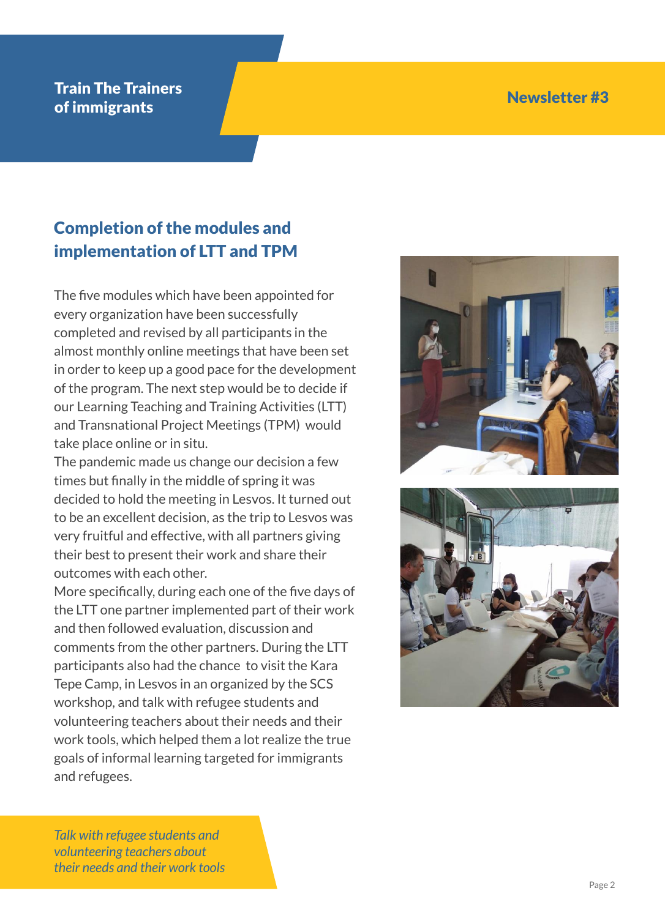#### Train The Trainers of immigrants and the contract of the contract of immigrants of immigrants of the contract of the contract of the contract of the contract of the contract of the contract of the contract of the contract of the contract of

# Completion of the modules and implementation of LTT and TPM

The five modules which have been appointed for every organization have been successfully completed and revised by all participants in the almost monthly online meetings that have been set in order to keep up a good pace for the development of the program. The next step would be to decide if our Learning Teaching and Training Activities (LTT) and Transnational Project Meetings (TPM) would take place online or in situ.

The pandemic made us change our decision a few times but finally in the middle of spring it was decided to hold the meeting in Lesvos. It turned out to be an excellent decision, as the trip to Lesvos was very fruitful and effective, with all partners giving their best to present their work and share their outcomes with each other.

More specifically, during each one of the five days of the LTT one partner implemented part of their work and then followed evaluation, discussion and comments from the other partners. During the LTT participants also had the chance to visit the Kara Tepe Camp, in Lesvos in an organized by the SCS workshop, and talk with refugee students and volunteering teachers about their needs and their work tools, which helped them a lot realize the true goals of informal learning targeted for immigrants and refugees.





*Talk with refugee students and volunteering teachers about their needs and their work tools*